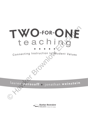# **TWO-FOR-ONE** t e a c h i r TWO-FOR-ONE<br>
teaching<br>
connecting Instruction to Student Values<br>
Connecting Instruction to Student Values<br>
Connecting Student Values<br>
Connecting Student Values

Connecting Instruction to Student Values

<sup>l</sup> <sup>a</sup> <sup>u</sup> <sup>r</sup> <sup>e</sup> <sup>n</sup> **<sup>p</sup> <sup>o</sup> <sup>r</sup><sup>o</sup> <sup>s</sup> <sup>o</sup> <sup>f</sup><sup>f</sup>** <sup>j</sup> <sup>o</sup> <sup>n</sup> <sup>a</sup> <sup>t</sup> <sup>h</sup> <sup>a</sup> <sup>n</sup> **<sup>w</sup><sup>e</sup> <sup>i</sup> <sup>n</sup> <sup>s</sup> <sup>t</sup> <sup>e</sup> <sup>i</sup> <sup>n</sup>**

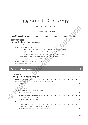## Tabl<sup>e</sup> <sup>o</sup>f Content<sup>s</sup>

| Reproducible pages are in italics.                                                                             |
|----------------------------------------------------------------------------------------------------------------|
| xiii                                                                                                           |
| <b>INTRODUCTION</b><br>. 1                                                                                     |
|                                                                                                                |
|                                                                                                                |
| Connecting Schoolwork to Values Makes the Work More Intrinsically Satisfying. 7                                |
| Honoring Students' Values Can Help Create a More Inclusive Community 7                                         |
| Focusing on Values as Qualities of Action Creates Opportunities for Connection 8                               |
|                                                                                                                |
|                                                                                                                |
| Academic Tasks as Contexts for Values Work (Although Martin Martin Martin Martin Martin Martin Martin Martin M |
|                                                                                                                |
|                                                                                                                |
| 13                                                                                                             |
|                                                                                                                |
| <b>CHAPTER 1</b>                                                                                               |
|                                                                                                                |
|                                                                                                                |
|                                                                                                                |
|                                                                                                                |
|                                                                                                                |
|                                                                                                                |
|                                                                                                                |
|                                                                                                                |
|                                                                                                                |
|                                                                                                                |
|                                                                                                                |

## **Part I: Foundations. . . . . . . . . . . . . . . . . . . . . . . . . . . . . . . . . . . . . . . . . . . . . . . . . . 13**

#### **CHAPTER 1**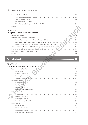#### viii | TWO-FOR-ONE TEACHING

| <b>CHAPTER 2</b> |  |
|------------------|--|
|                  |  |
|                  |  |
|                  |  |
|                  |  |
|                  |  |
|                  |  |

| Using the Science of Empowerment $\,\ldots\ldots\ldots\ldots\ldots\ldots\ldots\ldots\ldots\ldots\ldots\ldots\ldots\,35$ |
|-------------------------------------------------------------------------------------------------------------------------|
|                                                                                                                         |
|                                                                                                                         |
|                                                                                                                         |
|                                                                                                                         |
| Hierarchical Framing: Seeing an Action as Part of a Meaningful Life  41                                                 |
| Taking Advantage of Patterns of Activity to Help Students Establish Their Values. Neverthermanned 45                    |
|                                                                                                                         |
|                                                                                                                         |
|                                                                                                                         |

## **CHAPTER 3**

| 34                                                                                   |
|--------------------------------------------------------------------------------------|
| <b>CHAPTER 2</b>                                                                     |
|                                                                                      |
|                                                                                      |
|                                                                                      |
|                                                                                      |
| Hierarchical Framing: Seeing an Action as Part of a Meaningful Life  41              |
| Taking Advantage of Patterns of Activity to Help Students Establish Their Values. 45 |
|                                                                                      |
|                                                                                      |
|                                                                                      |
|                                                                                      |
|                                                                                      |
|                                                                                      |
| <b>CHAPTER 3</b>                                                                     |
|                                                                                      |
|                                                                                      |
|                                                                                      |
|                                                                                      |
|                                                                                      |
|                                                                                      |
| Unit Partner Meet                                                                    |
|                                                                                      |
|                                                                                      |
|                                                                                      |
|                                                                                      |
|                                                                                      |
|                                                                                      |
|                                                                                      |
|                                                                                      |
|                                                                                      |
|                                                                                      |
|                                                                                      |
|                                                                                      |
|                                                                                      |
|                                                                                      |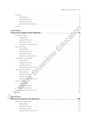#### Table of Contents | ix

| <b>CHAPTER 5</b>             |     |
|------------------------------|-----|
|                              |     |
|                              |     |
|                              |     |
|                              |     |
|                              |     |
|                              |     |
|                              |     |
|                              |     |
|                              |     |
|                              |     |
| Using the Protocol Next Time |     |
|                              |     |
|                              |     |
|                              |     |
|                              |     |
|                              |     |
|                              |     |
|                              |     |
|                              |     |
|                              |     |
|                              |     |
|                              |     |
|                              |     |
|                              |     |
|                              |     |
| <b>CHAPTER 4</b>             | '79 |
|                              |     |
|                              |     |
|                              |     |
|                              |     |
|                              |     |
|                              |     |

| otocols to Review the Material $\dots\dots\dots\dots\dots\dots\dots\dots\dots\dots\dots\dots$ . 105 |  |
|-----------------------------------------------------------------------------------------------------|--|
|                                                                                                     |  |
|                                                                                                     |  |
|                                                                                                     |  |
|                                                                                                     |  |
|                                                                                                     |  |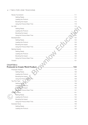#### x | TWO-FOR-ONE TEACHING

| 131              |  |
|------------------|--|
|                  |  |
| <b>CHAPTER 6</b> |  |
|                  |  |
|                  |  |
|                  |  |
|                  |  |
|                  |  |
|                  |  |
|                  |  |
|                  |  |
|                  |  |
|                  |  |
|                  |  |
|                  |  |
|                  |  |
|                  |  |
|                  |  |
|                  |  |
|                  |  |
|                  |  |
|                  |  |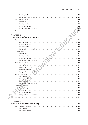#### Table of Contents | xi

| <b>CHAPTER 7</b>     |  |
|----------------------|--|
|                      |  |
|                      |  |
|                      |  |
|                      |  |
|                      |  |
|                      |  |
|                      |  |
|                      |  |
|                      |  |
|                      |  |
|                      |  |
|                      |  |
|                      |  |
|                      |  |
| Boosting the Impact. |  |
|                      |  |
|                      |  |
|                      |  |
|                      |  |
|                      |  |
|                      |  |
|                      |  |
|                      |  |
|                      |  |
|                      |  |
|                      |  |
|                      |  |

#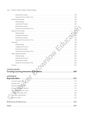#### xii | TWO-FOR-ONE TEACHING

| Unit Task Organizer |     |
|---------------------|-----|
|                     | 213 |
| <b>APPENDIX</b>     |     |
|                     |     |
|                     |     |
| <b>CONCLUSION</b>   |     |
|                     |     |
|                     |     |
|                     |     |
|                     |     |
|                     |     |
|                     |     |
|                     |     |
|                     |     |
|                     |     |
|                     |     |
|                     |     |
|                     |     |
|                     |     |
|                     |     |
|                     |     |
|                     |     |
|                     |     |
|                     |     |
|                     |     |
|                     |     |
|                     |     |
|                     |     |
|                     |     |
|                     |     |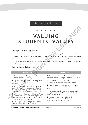### Introduction

# **VALUING STUDENTS' VALUES**

| VALUING<br>STUDENTS' VALUES<br>Let's begin, if you're willing, with you.<br>garten to grade 12. If you can only remember your teacher's name or where you sat, then write that down.<br>All classrooms count-gyms, fields, art studios, auditoriums-but for this activity, don't use memories<br>of special events, trips, lunch, recess, hallways, or anything else that you wouldn't consider a regularly<br>scheduled class. Don't overthink this, and don't cheat.<br>Figure I.1 features the lists we came up with.                                                                                                      | Jot down the first memory that comes to mind when you think of each grade you were in, from kinder-                                                                                                                                                                                                                                                                                                                                                                                                                                     |
|-------------------------------------------------------------------------------------------------------------------------------------------------------------------------------------------------------------------------------------------------------------------------------------------------------------------------------------------------------------------------------------------------------------------------------------------------------------------------------------------------------------------------------------------------------------------------------------------------------------------------------|-----------------------------------------------------------------------------------------------------------------------------------------------------------------------------------------------------------------------------------------------------------------------------------------------------------------------------------------------------------------------------------------------------------------------------------------------------------------------------------------------------------------------------------------|
| <b>Lauren's List</b>                                                                                                                                                                                                                                                                                                                                                                                                                                                                                                                                                                                                          | <b>Jonathan's List</b>                                                                                                                                                                                                                                                                                                                                                                                                                                                                                                                  |
| K: Total blank. I don't even remember my<br>teachers' names.<br>1: I remember wandering the hallways when<br>my class learned letters because I already<br>could read.<br>2: Mrs. Strauss told us to be on our best<br>behavior because when people visited our<br>school, what did they see as they walked<br>down the main hallway? Our room-room 2A.<br>3: Mrs. Dorros asked us what this year's play<br>should be about. We were studying fables,<br>and I suggested combining them all into one<br>big fable. That's what we did.<br>4: Mrs. Kaplan settled a fight between me<br>and my best friend by giving us M&M's. | K: Punching J. P. in the face for stealing my<br>chair, thereby excluding myself from the group<br>1: Struggling to draw the number 2<br>2: Sitting at desks that faced each other<br>3: Mrs. Smith telling me to give up writing in<br>cursive because it was too hard for her to<br>read<br>4: Ms. LaSpina telling me to go read ahead<br>in my U.S. history textbook because I was<br>ahead of the class<br>5: Moving up from the middle-level<br>mathematics class to the high-level one, but<br>then having to struggle to keep up |

**Figure I.1: Lauren's and Jonathan's school memories.** The magnetic memories of  $\Rightarrow$  continued  $\Rightarrow$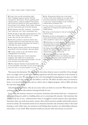#### 2 | TWO-FOR-ONE TEACHING

**5:** Every time we did something right, Mrs. Freedman gave us points. Did the homework? Ten points. Aced a spelling test? Twenty points. Lined up quietly? Five points. We'd write our points on note cards taped to the corners of our desks. Every week, whoever got the most points got to be top banana.

**6:** My teacher was Mrs. Anziska. I remember that I liked her, but I don't remember why.

**7:** We all had to get daily subscriptions to The New York Times. We brought in our copies every day and felt very grown-up.

**8:** We did a project in science where cars dripped water at a fixed rate and we could measure the distance between the drops to calculate the cars' speeds.

**9:** My English teacher said that all literature was about only two themes: sex and death.

**10:** I drew a lamp in art. My teacher said I exaggerated my shading.

11: My friend Sara and I took chemistry together. We made fun of words like stoichiometry and spectrophotometer, but we both secretly loved the class.

**12:** My calculus teacher would explain how to do a problem, and then I'd turn to the girl who sat next to me and explain it to her.

**6:** Mr. Stravopolis sitting me in the back corner of the room based on my last name and then fostering competition among us to see who could complete a set number of mathematics problems first

**7:** Also sitting in the back corner of the classroom in science and learning about edible plants

**8:** Using a microscope to look at a dead fly in science class

**9:** Being forced to participate in a one-act scene with another student who was the only other student in class not to find a partner

**10:** Working in a small group in English class and being told to read books that were more challenging than the rest of the class's

**11:** Being ridiculed by my mathematics teacher for asking how one might use trigonometry in the real world

**12:** Watching films by John Kenneth Galbraith in economics, but feeling very little connection between what we learned in the films and their relevance to class

This exercise has limitations. We asked you to write down whatever came to mind first. If you thought more, you might come up with other learning experiences that felt more important in the moment or that matter more now. We also recognize that a lot of meaningful learning happens in spaces we didn't allow you to use for this activity, like the hallway or the bus. We didn't ask about what you learned at home, or in out-of-school activities such as a dance class or religious program. And we didn't ask about the years since high school. by the most contained got the objective of the most contained by the section of the section of the section of the section of the section of the section of the section of the section of the section of the section of the se

Acknowledging these limits, what do you notice when you look over your list? What themes or connections emerge? What did academic learning look like for you?

In our lists, each memory connects to an emotion. Sometimes that emotion feels nice—excitement in trying something new, pride in a budding talent, joy in connecting with someone. And sometimes that emotion feels not so nice—embarrassment when we struggled to match someone else's expectations, frustration when our needs went unmet, anxiety when school moved too quickly and boredom when it moved too slowly. The emotional content of our classroom memories only sometimes relates to the actual learning or work. Other times, our memories reveal feelings about ourselves, our relationships with peers and teachers, or our world. What emotions would you associate with each memory on your list?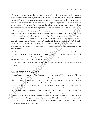Any emotion signals that something important is at stake. If you felt excited when your history teacher invited you to read ahead, what might have been important to you in that moment? Or if you felt frustrated that you didn't get to be top banana despite your best efforts, what does that tell you about your values at the time? If you still remember these moments, what might be important to you now? Whether these moments were part of the academic curriculum or unplanned incidents and interactions, what can they teach you about who you were then, what matters to you now, and what you want to stand for in the future?

When your students look back on your class, what do you want them to remember? What do you want them to have learned about themselves, what matters to them, and what they will stand for? What if, in addition to ensuring that "students graduating from high school are prepared to take credit bearing [*sic*] introductory courses in two- or four-year college programs or enter the workforce" (National Governors Association Center for Best Practices [NGA] & Council of Chief State School Officers [CCSSO], n.d.), we could also make school a place where students discover and do what matters to them? That's what we mean by *two-for-one teaching*: it's using academic instruction as a context for students to explore and enact their values.

This book shows you how to turn academic units into opportunities for students to notice what matters to them, choose to do what matters, and accept the struggle inherent in that choice—which we call *values work*. This isn't an added thing; it's a different way to do *the* thing, academic instruction, and have students bring their values to their academic learning.

But before we discuss why, where, and how to do values work in school, we'll first define what we mean by *values*.

#### **A Definition of Values**

Our definition of values comes from Contextual Behavioral Science (CBS), which seeks to "alleviate human suffering and advance human flourishing by developing basic scientific accounts of complex behaviors" (Villatte, Villatte, & Hayes, 2016, p. 4). Psychologists who practice CBS distinguish between pain, which is an inevitable part of life, and the suffering that results when efforts to control, minimize, or avoid that pain are unsuccessful (Hayes, Strosahl, & Wilson, 2012). These psychologists help people become aware of their values and choose to do what matters—not what's easiest or most fun, not what makes them look cool or sound smart, and not what relieves them from unpleasant feelings like anxiousness, embarrassment, or frustration—so they can live more fulfilling lives (Hayes et al., 2012). Contextual behavioral scientists define *values* as "freely chosen, verbally constructed consequences of ongoing, dynamic, evolving patterns of activity, which establish predominant reinforcers for that activity that are intrinsic in engagement in the valued behavioral pattern itself" (Wilson & DuFrene, 2009, p. 64). Let's break down this definition. about who you were then, what matters to you now, and what you want to stand for in the future<br>
When your students look back on your class, what do you want them to remember? What and possible<br>
them to hove larmed about t